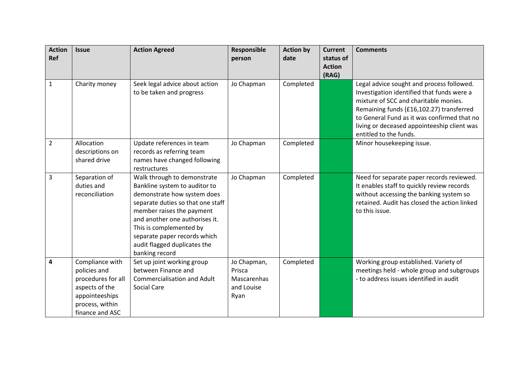| <b>Action</b><br>Ref | <b>Issue</b>                                                                                                                    | <b>Action Agreed</b>                                                                                                                                                                                                                                                                                         | Responsible<br>person                                      | <b>Action by</b><br>date | <b>Current</b><br>status of<br><b>Action</b><br>(RAG) | <b>Comments</b>                                                                                                                                                                                                                                                                                      |
|----------------------|---------------------------------------------------------------------------------------------------------------------------------|--------------------------------------------------------------------------------------------------------------------------------------------------------------------------------------------------------------------------------------------------------------------------------------------------------------|------------------------------------------------------------|--------------------------|-------------------------------------------------------|------------------------------------------------------------------------------------------------------------------------------------------------------------------------------------------------------------------------------------------------------------------------------------------------------|
| 1                    | Charity money                                                                                                                   | Seek legal advice about action<br>to be taken and progress                                                                                                                                                                                                                                                   | Jo Chapman                                                 | Completed                |                                                       | Legal advice sought and process followed.<br>Investigation identified that funds were a<br>mixture of SCC and charitable monies.<br>Remaining funds (£16,102.27) transferred<br>to General Fund as it was confirmed that no<br>living or deceased appointeeship client was<br>entitled to the funds. |
| $\overline{2}$       | Allocation<br>descriptions on<br>shared drive                                                                                   | Update references in team<br>records as referring team<br>names have changed following<br>restructures                                                                                                                                                                                                       | Jo Chapman                                                 | Completed                |                                                       | Minor housekeeping issue.                                                                                                                                                                                                                                                                            |
| 3                    | Separation of<br>duties and<br>reconciliation                                                                                   | Walk through to demonstrate<br>Bankline system to auditor to<br>demonstrate how system does<br>separate duties so that one staff<br>member raises the payment<br>and another one authorises it.<br>This is complemented by<br>separate paper records which<br>audit flagged duplicates the<br>banking record | Jo Chapman                                                 | Completed                |                                                       | Need for separate paper records reviewed.<br>It enables staff to quickly review records<br>without accessing the banking system so<br>retained. Audit has closed the action linked<br>to this issue.                                                                                                 |
| 4                    | Compliance with<br>policies and<br>procedures for all<br>aspects of the<br>appointeeships<br>process, within<br>finance and ASC | Set up joint working group<br>between Finance and<br><b>Commercialisation and Adult</b><br><b>Social Care</b>                                                                                                                                                                                                | Jo Chapman,<br>Prisca<br>Mascarenhas<br>and Louise<br>Ryan | Completed                |                                                       | Working group established. Variety of<br>meetings held - whole group and subgroups<br>- to address issues identified in audit                                                                                                                                                                        |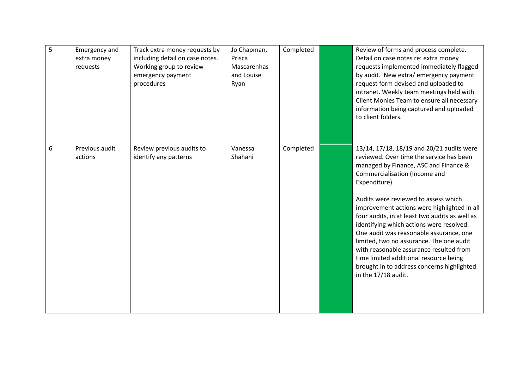| 5 | <b>Emergency and</b><br>extra money<br>requests | Track extra money requests by<br>including detail on case notes.<br>Working group to review<br>emergency payment<br>procedures | Jo Chapman,<br>Prisca<br>Mascarenhas<br>and Louise<br>Ryan | Completed | Review of forms and process complete.<br>Detail on case notes re: extra money<br>requests implemented immediately flagged<br>by audit. New extra/ emergency payment<br>request form devised and uploaded to<br>intranet. Weekly team meetings held with<br>Client Monies Team to ensure all necessary<br>information being captured and uploaded<br>to client folders.                                                                                                                                                                                                                                                 |
|---|-------------------------------------------------|--------------------------------------------------------------------------------------------------------------------------------|------------------------------------------------------------|-----------|------------------------------------------------------------------------------------------------------------------------------------------------------------------------------------------------------------------------------------------------------------------------------------------------------------------------------------------------------------------------------------------------------------------------------------------------------------------------------------------------------------------------------------------------------------------------------------------------------------------------|
| 6 | Previous audit<br>actions                       | Review previous audits to<br>identify any patterns                                                                             | Vanessa<br>Shahani                                         | Completed | 13/14, 17/18, 18/19 and 20/21 audits were<br>reviewed. Over time the service has been<br>managed by Finance, ASC and Finance &<br>Commercialisation (Income and<br>Expenditure).<br>Audits were reviewed to assess which<br>improvement actions were highlighted in all<br>four audits, in at least two audits as well as<br>identifying which actions were resolved.<br>One audit was reasonable assurance, one<br>limited, two no assurance. The one audit<br>with reasonable assurance resulted from<br>time limited additional resource being<br>brought in to address concerns highlighted<br>in the 17/18 audit. |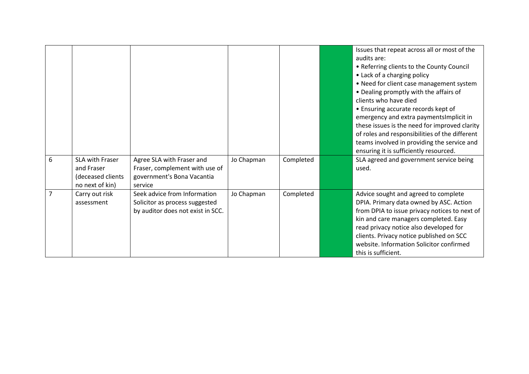|                |                                                                       |                                                                                                      |            |           | Issues that repeat across all or most of the<br>audits are:<br>• Referring clients to the County Council<br>• Lack of a charging policy<br>• Need for client case management system<br>• Dealing promptly with the affairs of<br>clients who have died<br>• Ensuring accurate records kept of<br>emergency and extra payments Implicit in<br>these issues is the need for improved clarity<br>of roles and responsibilities of the different<br>teams involved in providing the service and<br>ensuring it is sufficiently resourced. |
|----------------|-----------------------------------------------------------------------|------------------------------------------------------------------------------------------------------|------------|-----------|---------------------------------------------------------------------------------------------------------------------------------------------------------------------------------------------------------------------------------------------------------------------------------------------------------------------------------------------------------------------------------------------------------------------------------------------------------------------------------------------------------------------------------------|
| 6              | SLA with Fraser<br>and Fraser<br>(deceased clients<br>no next of kin) | Agree SLA with Fraser and<br>Fraser, complement with use of<br>government's Bona Vacantia<br>service | Jo Chapman | Completed | SLA agreed and government service being<br>used.                                                                                                                                                                                                                                                                                                                                                                                                                                                                                      |
| $\overline{7}$ | Carry out risk<br>assessment                                          | Seek advice from Information<br>Solicitor as process suggested<br>by auditor does not exist in SCC.  | Jo Chapman | Completed | Advice sought and agreed to complete<br>DPIA. Primary data owned by ASC. Action<br>from DPIA to issue privacy notices to next of<br>kin and care managers completed. Easy<br>read privacy notice also developed for<br>clients. Privacy notice published on SCC<br>website. Information Solicitor confirmed<br>this is sufficient.                                                                                                                                                                                                    |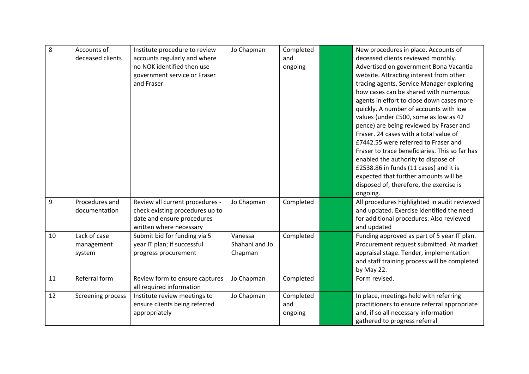| 8  | Accounts of<br>deceased clients      | Institute procedure to review<br>accounts regularly and where<br>no NOK identified then use<br>government service or Fraser | Jo Chapman                           | Completed<br>and<br>ongoing | New procedures in place. Accounts of<br>deceased clients reviewed monthly.<br>Advertised on government Bona Vacantia<br>website. Attracting interest from other                                                                                                                                                                                                                                                                                                                    |
|----|--------------------------------------|-----------------------------------------------------------------------------------------------------------------------------|--------------------------------------|-----------------------------|------------------------------------------------------------------------------------------------------------------------------------------------------------------------------------------------------------------------------------------------------------------------------------------------------------------------------------------------------------------------------------------------------------------------------------------------------------------------------------|
|    |                                      | and Fraser                                                                                                                  |                                      |                             | tracing agents. Service Manager exploring<br>how cases can be shared with numerous<br>agents in effort to close down cases more<br>quickly. A number of accounts with low<br>values (under £500, some as low as 42<br>pence) are being reviewed by Fraser and<br>Fraser. 24 cases with a total value of<br>£7442.55 were referred to Fraser and<br>Fraser to trace beneficiaries. This so far has<br>enabled the authority to dispose of<br>£2538.86 in funds (11 cases) and it is |
|    |                                      |                                                                                                                             |                                      |                             | expected that further amounts will be<br>disposed of, therefore, the exercise is<br>ongoing.                                                                                                                                                                                                                                                                                                                                                                                       |
| 9  | Procedures and<br>documentation      | Review all current procedures -<br>check existing procedures up to<br>date and ensure procedures<br>written where necessary | Jo Chapman                           | Completed                   | All procedures highlighted in audit reviewed<br>and updated. Exercise identified the need<br>for additional procedures. Also reviewed<br>and updated                                                                                                                                                                                                                                                                                                                               |
| 10 | Lack of case<br>management<br>system | Submit bid for funding via 5<br>year IT plan; if successful<br>progress procurement                                         | Vanessa<br>Shahani and Jo<br>Chapman | Completed                   | Funding approved as part of 5 year IT plan.<br>Procurement request submitted. At market<br>appraisal stage. Tender, implementation<br>and staff training process will be completed<br>by May 22.                                                                                                                                                                                                                                                                                   |
| 11 | Referral form                        | Review form to ensure captures<br>all required information                                                                  | Jo Chapman                           | Completed                   | Form revised.                                                                                                                                                                                                                                                                                                                                                                                                                                                                      |
| 12 | <b>Screening process</b>             | Institute review meetings to<br>ensure clients being referred<br>appropriately                                              | Jo Chapman                           | Completed<br>and<br>ongoing | In place, meetings held with referring<br>practitioners to ensure referral appropriate<br>and, if so all necessary information<br>gathered to progress referral                                                                                                                                                                                                                                                                                                                    |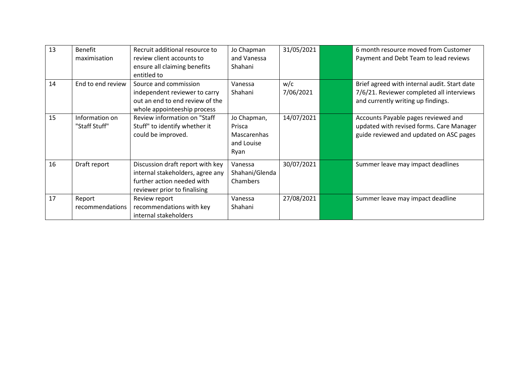| 13 | <b>Benefit</b><br>maximisation  | Recruit additional resource to<br>review client accounts to<br>ensure all claiming benefits<br>entitled to                         | Jo Chapman<br>and Vanessa<br>Shahani                       | 31/05/2021       | 6 month resource moved from Customer<br>Payment and Debt Team to lead reviews                                                   |
|----|---------------------------------|------------------------------------------------------------------------------------------------------------------------------------|------------------------------------------------------------|------------------|---------------------------------------------------------------------------------------------------------------------------------|
| 14 | End to end review               | Source and commission<br>independent reviewer to carry<br>out an end to end review of the<br>whole appointeeship process           | Vanessa<br>Shahani                                         | w/c<br>7/06/2021 | Brief agreed with internal audit. Start date<br>7/6/21. Reviewer completed all interviews<br>and currently writing up findings. |
| 15 | Information on<br>"Staff Stuff" | Review information on "Staff<br>Stuff" to identify whether it<br>could be improved.                                                | Jo Chapman,<br>Prisca<br>Mascarenhas<br>and Louise<br>Ryan | 14/07/2021       | Accounts Payable pages reviewed and<br>updated with revised forms. Care Manager<br>guide reviewed and updated on ASC pages      |
| 16 | Draft report                    | Discussion draft report with key<br>internal stakeholders, agree any<br>further action needed with<br>reviewer prior to finalising | Vanessa<br>Shahani/Glenda<br>Chambers                      | 30/07/2021       | Summer leave may impact deadlines                                                                                               |
| 17 | Report<br>recommendations       | Review report<br>recommendations with key<br>internal stakeholders                                                                 | Vanessa<br>Shahani                                         | 27/08/2021       | Summer leave may impact deadline                                                                                                |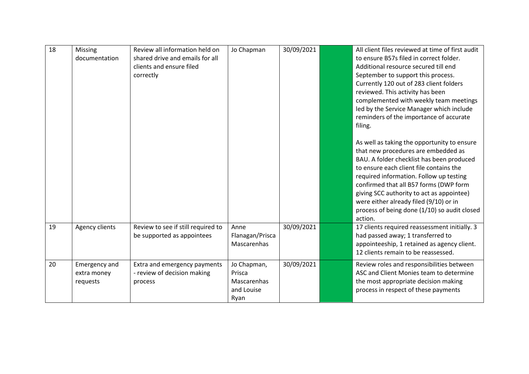| 18 | Missing<br>documentation                 | Review all information held on<br>shared drive and emails for all<br>clients and ensure filed<br>correctly | Jo Chapman                                                 | 30/09/2021 | All client files reviewed at time of first audit<br>to ensure B57s filed in correct folder.<br>Additional resource secured till end<br>September to support this process.<br>Currently 120 out of 283 client folders<br>reviewed. This activity has been<br>complemented with weekly team meetings<br>led by the Service Manager which include<br>reminders of the importance of accurate<br>filing.<br>As well as taking the opportunity to ensure<br>that new procedures are embedded as<br>BAU. A folder checklist has been produced<br>to ensure each client file contains the<br>required information. Follow up testing<br>confirmed that all B57 forms (DWP form<br>giving SCC authority to act as appointee)<br>were either already filed (9/10) or in<br>process of being done (1/10) so audit closed<br>action. |
|----|------------------------------------------|------------------------------------------------------------------------------------------------------------|------------------------------------------------------------|------------|---------------------------------------------------------------------------------------------------------------------------------------------------------------------------------------------------------------------------------------------------------------------------------------------------------------------------------------------------------------------------------------------------------------------------------------------------------------------------------------------------------------------------------------------------------------------------------------------------------------------------------------------------------------------------------------------------------------------------------------------------------------------------------------------------------------------------|
| 19 | Agency clients                           | Review to see if still required to<br>be supported as appointees                                           | Anne<br>Flanagan/Prisca<br>Mascarenhas                     | 30/09/2021 | 17 clients required reassessment initially. 3<br>had passed away; 1 transferred to<br>appointeeship, 1 retained as agency client.<br>12 clients remain to be reassessed.                                                                                                                                                                                                                                                                                                                                                                                                                                                                                                                                                                                                                                                  |
| 20 | Emergency and<br>extra money<br>requests | Extra and emergency payments<br>- review of decision making<br>process                                     | Jo Chapman,<br>Prisca<br>Mascarenhas<br>and Louise<br>Ryan | 30/09/2021 | Review roles and responsibilities between<br>ASC and Client Monies team to determine<br>the most appropriate decision making<br>process in respect of these payments                                                                                                                                                                                                                                                                                                                                                                                                                                                                                                                                                                                                                                                      |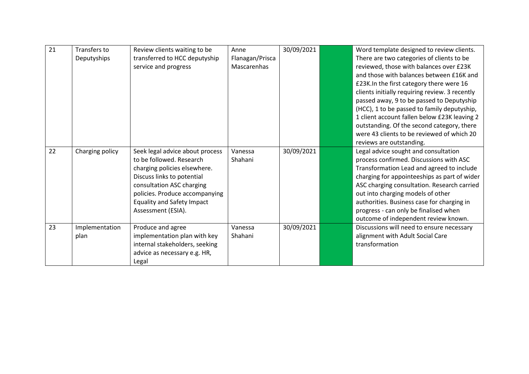| 21 | Transfers to    | Review clients waiting to be      | Anne            | 30/09/2021 | Word template designed to review clients.      |
|----|-----------------|-----------------------------------|-----------------|------------|------------------------------------------------|
|    | Deputyships     | transferred to HCC deputyship     | Flanagan/Prisca |            | There are two categories of clients to be      |
|    |                 | service and progress              | Mascarenhas     |            | reviewed, those with balances over £23K        |
|    |                 |                                   |                 |            | and those with balances between £16K and       |
|    |                 |                                   |                 |            | £23K.In the first category there were 16       |
|    |                 |                                   |                 |            | clients initially requiring review. 3 recently |
|    |                 |                                   |                 |            | passed away, 9 to be passed to Deputyship      |
|    |                 |                                   |                 |            | (HCC), 1 to be passed to family deputyship,    |
|    |                 |                                   |                 |            | 1 client account fallen below £23K leaving 2   |
|    |                 |                                   |                 |            | outstanding. Of the second category, there     |
|    |                 |                                   |                 |            | were 43 clients to be reviewed of which 20     |
|    |                 |                                   |                 |            | reviews are outstanding.                       |
| 22 | Charging policy | Seek legal advice about process   | Vanessa         | 30/09/2021 | Legal advice sought and consultation           |
|    |                 | to be followed. Research          | Shahani         |            | process confirmed. Discussions with ASC        |
|    |                 | charging policies elsewhere.      |                 |            | Transformation Lead and agreed to include      |
|    |                 | Discuss links to potential        |                 |            | charging for appointeeships as part of wider   |
|    |                 | consultation ASC charging         |                 |            | ASC charging consultation. Research carried    |
|    |                 | policies. Produce accompanying    |                 |            | out into charging models of other              |
|    |                 |                                   |                 |            |                                                |
|    |                 | <b>Equality and Safety Impact</b> |                 |            | authorities. Business case for charging in     |
|    |                 | Assessment (ESIA).                |                 |            | progress - can only be finalised when          |
|    |                 |                                   |                 |            | outcome of independent review known.           |
| 23 | Implementation  | Produce and agree                 | Vanessa         | 30/09/2021 | Discussions will need to ensure necessary      |
|    | plan            | implementation plan with key      | Shahani         |            | alignment with Adult Social Care               |
|    |                 | internal stakeholders, seeking    |                 |            | transformation                                 |
|    |                 | advice as necessary e.g. HR,      |                 |            |                                                |
|    |                 | Legal                             |                 |            |                                                |